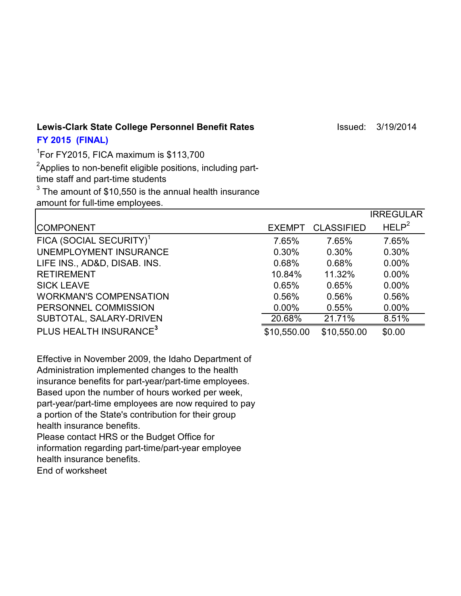Lewis-Clark State College Personnel Benefit Rates **Internative Clark State College Personnel Benefit Rates Internative College Personnel Benefit Rates** 

## **FY 2015 (FINAL)**

1 For FY2015, FICA maximum is \$113,700  ${\rm ^2}$ Applies to non-benefit eligible positions, including parttime staff and part-time students  $^3$  The amount of \$10,550 is the annual health insurance amount for full-time employees.

|                                     |               |                   | <b>IRREGULAR</b>  |
|-------------------------------------|---------------|-------------------|-------------------|
| <b>COMPONENT</b>                    | <b>EXEMPT</b> | <b>CLASSIFIED</b> | HELP <sup>2</sup> |
| FICA (SOCIAL SECURITY) <sup>1</sup> | 7.65%         | 7.65%             | 7.65%             |
| UNEMPLOYMENT INSURANCE              | 0.30%         | 0.30%             | 0.30%             |
| LIFE INS., AD&D, DISAB. INS.        | 0.68%         | 0.68%             | $0.00\%$          |
| <b>RETIREMENT</b>                   | 10.84%        | 11.32%            | $0.00\%$          |
| <b>SICK LEAVE</b>                   | 0.65%         | 0.65%             | $0.00\%$          |
| <b>WORKMAN'S COMPENSATION</b>       | 0.56%         | 0.56%             | 0.56%             |
| PERSONNEL COMMISSION                | $0.00\%$      | 0.55%             | $0.00\%$          |
| SUBTOTAL, SALARY-DRIVEN             | 20.68%        | 21.71%            | 8.51%             |
| PLUS HEALTH INSURANCE <sup>3</sup>  | \$10,550.00   | \$10,550.00       | \$0.00            |

Effective in November 2009, the Idaho Department of Administration implemented changes to the health insurance benefits for part-year/part-time employees. Based upon the number of hours worked per week, part-year/part-time employees are now required to pay a portion of the State's contribution for their group health insurance benefits.

Please contact HRS or the Budget Office for information regarding part-time/part-year employee health insurance benefits.

End of worksheet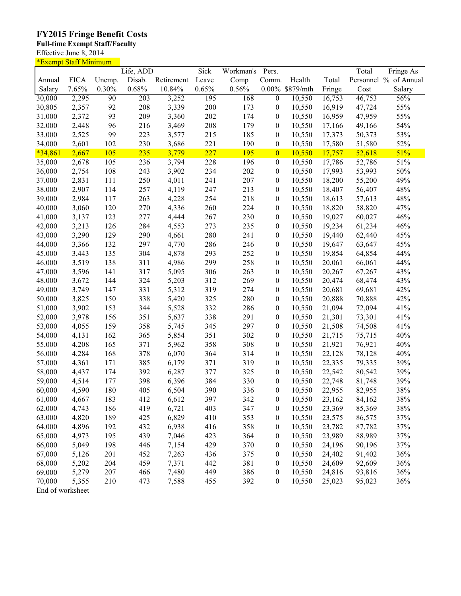## **FY2015 Fringe Benefit Costs**

## **Full-time Exempt Staff/Faculty**

Effective June 8, 2014

| <u>*Exempt Staff Minimum</u> |             |        |                  |            |       |           |                  |                 |        |        |                       |
|------------------------------|-------------|--------|------------------|------------|-------|-----------|------------------|-----------------|--------|--------|-----------------------|
|                              |             |        | Life, ADD        |            | Sick  | Workman's | Pers.            |                 |        | Total  | Fringe As             |
| Annual                       | <b>FICA</b> | Unemp. | Disab.           | Retirement | Leave | Comp      | Comm.            | Health          | Total  |        | Personnel % of Annual |
| Salary                       | 7.65%       | 0.30%  | 0.68%            | 10.84%     | 0.65% | 0.56%     |                  | 0.00% \$879/mth | Fringe | Cost   | Salary                |
| 30,000                       | 2,295       | 90     | $\overline{203}$ | 3,252      | 195   | 168       | $\overline{0}$   | 10,550          | 16,753 | 46,753 | 56%                   |
| 30,805                       | 2,357       | 92     | 208              | 3,339      | 200   | 173       | 0                | 10,550          | 16,919 | 47,724 | 55%                   |
| 31,000                       | 2,372       | 93     | 209              | 3,360      | 202   | 174       | $\boldsymbol{0}$ | 10,550          | 16,959 | 47,959 | 55%                   |
| 32,000                       | 2,448       | 96     | 216              | 3,469      | 208   | 179       | 0                | 10,550          | 17,166 | 49,166 | 54%                   |
| 33,000                       | 2,525       | 99     | 223              | 3,577      | 215   | 185       | 0                | 10,550          | 17,373 | 50,373 | 53%                   |
| 34,000                       | 2,601       | 102    | 230              | 3,686      | 221   | 190       | $\boldsymbol{0}$ | 10,550          | 17,580 | 51,580 | 52%                   |
| $*34,861$                    | 2,667       | 105    | 235              | 3,779      | 227   | 195       | $\bf{0}$         | 10,550          | 17,757 | 52,618 | 51%                   |
| 35,000                       | 2,678       | 105    | 236              | 3,794      | 228   | 196       | 0                | 10,550          | 17,786 | 52,786 | 51%                   |
| 36,000                       | 2,754       | 108    | 243              | 3,902      | 234   | 202       | 0                | 10,550          | 17,993 | 53,993 | 50%                   |
| 37,000                       | 2,831       | 111    | 250              | 4,011      | 241   | 207       | 0                | 10,550          | 18,200 | 55,200 | 49%                   |
| 38,000                       | 2,907       | 114    | 257              | 4,119      | 247   | 213       | 0                | 10,550          | 18,407 | 56,407 | 48%                   |
| 39,000                       | 2,984       | 117    | 263              | 4,228      | 254   | 218       | $\boldsymbol{0}$ | 10,550          | 18,613 | 57,613 | 48%                   |
| 40,000                       | 3,060       | 120    | 270              | 4,336      | 260   | 224       | 0                | 10,550          | 18,820 | 58,820 | 47%                   |
| 41,000                       | 3,137       | 123    | 277              | 4,444      | 267   | 230       | 0                | 10,550          | 19,027 | 60,027 | 46%                   |
| 42,000                       | 3,213       | 126    | 284              | 4,553      | 273   | 235       | 0                | 10,550          | 19,234 | 61,234 | 46%                   |
| 43,000                       | 3,290       | 129    | 290              | 4,661      | 280   | 241       | 0                | 10,550          | 19,440 | 62,440 | 45%                   |
| 44,000                       | 3,366       | 132    | 297              | 4,770      | 286   | 246       | 0                | 10,550          | 19,647 | 63,647 | 45%                   |
| 45,000                       | 3,443       | 135    | 304              | 4,878      | 293   | 252       | $\boldsymbol{0}$ | 10,550          | 19,854 | 64,854 | 44%                   |
| 46,000                       | 3,519       | 138    | 311              | 4,986      | 299   | 258       | $\boldsymbol{0}$ | 10,550          | 20,061 | 66,061 | 44%                   |
| 47,000                       | 3,596       | 141    | 317              | 5,095      | 306   | 263       | $\boldsymbol{0}$ | 10,550          | 20,267 | 67,267 | 43%                   |
| 48,000                       | 3,672       | 144    | 324              | 5,203      | 312   | 269       | $\boldsymbol{0}$ | 10,550          | 20,474 | 68,474 | 43%                   |
| 49,000                       | 3,749       | 147    | 331              | 5,312      | 319   | 274       | $\boldsymbol{0}$ | 10,550          | 20,681 | 69,681 | 42%                   |
| 50,000                       | 3,825       | 150    | 338              | 5,420      | 325   | 280       | 0                | 10,550          | 20,888 | 70,888 | 42%                   |
| 51,000                       | 3,902       | 153    | 344              | 5,528      | 332   | 286       | 0                | 10,550          | 21,094 | 72,094 | 41%                   |
| 52,000                       | 3,978       | 156    | 351              | 5,637      | 338   | 291       | $\boldsymbol{0}$ | 10,550          | 21,301 | 73,301 | 41%                   |
| 53,000                       | 4,055       | 159    | 358              | 5,745      | 345   | 297       | 0                | 10,550          | 21,508 | 74,508 | 41%                   |
| 54,000                       | 4,131       | 162    | 365              | 5,854      | 351   | 302       | 0                | 10,550          | 21,715 | 75,715 | 40%                   |
| 55,000                       | 4,208       | 165    | 371              | 5,962      | 358   | 308       | 0                | 10,550          | 21,921 | 76,921 | 40%                   |
| 56,000                       | 4,284       | 168    | 378              | 6,070      | 364   | 314       | 0                | 10,550          | 22,128 | 78,128 | 40%                   |
| 57,000                       | 4,361       | 171    | 385              | 6,179      | 371   | 319       | $\boldsymbol{0}$ | 10,550          | 22,335 | 79,335 | 39%                   |
| 58,000                       | 4,437       | 174    | 392              | 6,287      | 377   | 325       | 0                | 10,550          | 22,542 | 80,542 | 39%                   |
| 59,000                       | 4,514       | 177    | 398              | 6,396      | 384   | 330       | $\boldsymbol{0}$ | 10,550          | 22,748 | 81,748 | 39%                   |
| 60,000                       | 4,590       | 180    | 405              | 6,504      | 390   | 336       | $\boldsymbol{0}$ | 10,550          | 22,955 | 82,955 | 38%                   |
| 61,000                       | 4,667       | 183    | 412              | 6,612      | 397   | 342       | 0                | 10,550          | 23,162 | 84,162 | 38%                   |
| 62,000                       | 4,743       | 186    | 419              | 6,721      | 403   | 347       | 0                | 10,550          | 23,369 | 85,369 | 38%                   |
| 63,000                       | 4,820       | 189    | 425              | 6,829      | 410   | 353       | $\boldsymbol{0}$ | 10,550          | 23,575 | 86,575 | 37%                   |
| 64,000                       | 4,896       | 192    | 432              | 6,938      | 416   | 358       | $\boldsymbol{0}$ | 10,550          | 23,782 | 87,782 | 37%                   |
| 65,000                       | 4,973       | 195    | 439              | 7,046      | 423   | 364       | $\boldsymbol{0}$ | 10,550          | 23,989 | 88,989 | 37%                   |
| 66,000                       | 5,049       | 198    | 446              | 7,154      | 429   | 370       | $\boldsymbol{0}$ | 10,550          | 24,196 | 90,196 | 37%                   |
| 67,000                       | 5,126       | 201    | 452              | 7,263      | 436   | 375       | $\boldsymbol{0}$ | 10,550          | 24,402 | 91,402 | 36%                   |
| 68,000                       | 5,202       | 204    | 459              | 7,371      | 442   | 381       | $\boldsymbol{0}$ | 10,550          | 24,609 | 92,609 | 36%                   |
| 69,000                       | 5,279       | 207    | 466              | 7,480      | 449   | 386       | $\boldsymbol{0}$ | 10,550          | 24,816 | 93,816 | 36%                   |
| 70,000                       | 5,355       | 210    | 473              | 7,588      | 455   | 392       | $\boldsymbol{0}$ | 10,550          | 25,023 | 95,023 | 36%                   |
| $End$ of workshoot           |             |        |                  |            |       |           |                  |                 |        |        |                       |

End of worksheet